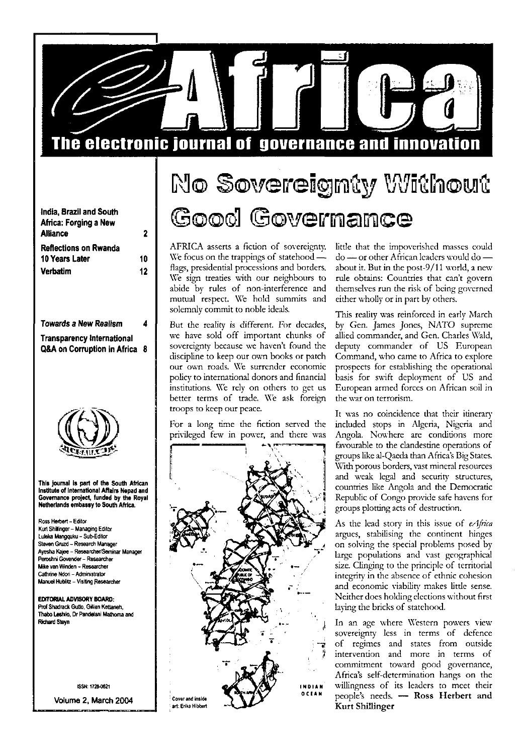

| India, Brazil and South      |    |
|------------------------------|----|
| Africa: Forging a New        |    |
| <b>Alliance</b>              | 2  |
| <b>Reflections on Rwanda</b> |    |
| <b>10 Years Later</b>        | 10 |
| <b>Verbatim</b>              | 12 |
|                              |    |

**Towards a New Realism 4 Transparency International Q&A on Corruption in Africa 8**



**This journal Is part of the South African Institute of International Affairs Nepad and Governance project, funded by the Royal Netherlands embassy to South Africa.**

Ross Herbert - Editor Kurt Shillinger - Managing Editor Luleka Mangquku - Sub-Editor Steven Gruzd - Research Manager Ayesha Kajee - Researcher/Seminar Manager Peroshm Govender - Researcher Mike van Winden - Researcher Cathrine Ndori - Administrator Manuel Hublitz - Visiting Researcher

**EDITORIAL ADVISORY BOARD:** Prof Shadrack Gutto, Gillian Kettaneh, Thabo Leshilo, Dr Pandelani Mathoma and **Richard Steyn** 

ISSN: 17204)621

**Volume 2, March 2004**

## No Sovereignty Without **Good Governance**

AFRICA asserts a fiction of sovereignty. We focus on the trappings of statehood flags, presidential processions and borders. We sign treaties with our neighbours to abide by rules of non-interference and mutual respect. We hold summits and solemnly commit to noble ideals.

But the reality is different. For decades, we have sold off important chunks of sovereignty because we haven't found the discipline to keep our own books or patch our own roads. We surrender economic policy to international donors and financial institutions. We rely on others to get us better terms of trade. We ask foreign troops to keep our peace.

For a long time the fiction served the privileged few in power, and there was



little that the impoverished masses could do — or other African leaders would do about it. But in the post-9/11 world, a new rule obtains: Countries that can't govern themselves run the risk of being governed either wholly or in part by others.

This reality was reinforced in early March by Gen. James Jones, NATO supreme allied commander, and Gen. Charles Wald, deputy commander of US European Command, who came to Africa to explore prospects for establishing the operational basis for swift deployment of US and European armed forces on African soil in the war on terrorism.

It was no coincidence that their itinerary included stops in Algeria, Nigeria and Angola. Nowhere are conditions more favourable to the clandestine operations of groups like al-Qaeda than Africa's Big States. With porous borders, vast mineral resources and weak legal and security structures, countries like Angola and the Democratic Republic of Congo provide safe havens for groups plotting acts of destruction.

As the lead story in this issue of *eAjrica* argues, stabilising the continent hinges on solving the special problems posed by large populations and vast geographical size. Clinging to the principle of territorial integrity in the absence of ethnic cohesion and economic viability makes little sense. Neither does holding elections without first laying the bricks of statehood.

In an age where Western powers view sovereignty less in terms of defence of regimes and states from outside intervention and more in terms of commitment toward good governance, Africa's self-determination hangs on the willingness of its leaders to meet their people's needs. — **Ross Herbert and Kurt Shillinger**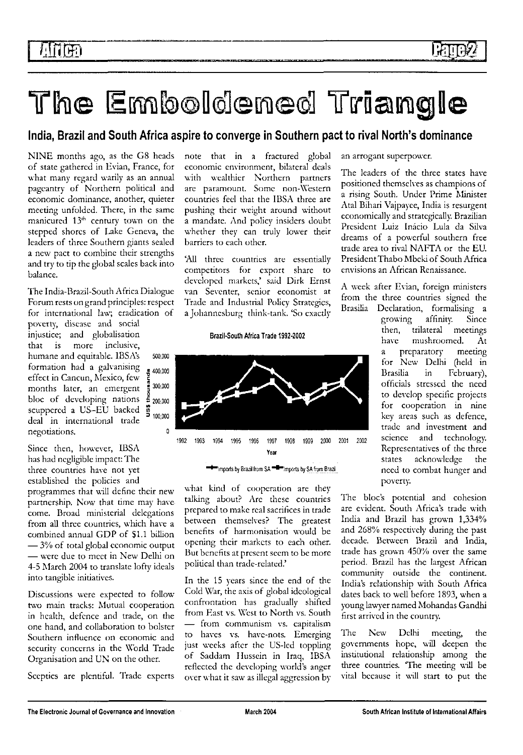# The Emboldened Triangle

## India, Brazil and South Africa aspire to converge in Southern pact to rival North's dominance

NINE months ago, as the G8 heads of state gathered in Evian, France, for what many regard warily as an annual pageantry of Northern political and economic dominance, another, quieter meeting unfolded. There, in the same manicured 13<sup>th</sup> century town on the stepped shores of Lake Geneva, the leaders of three Southern giants sealed a new pact to combine their strengths and try to tip the global scales back into balance.

The India-Brazil-South Africa Dialogue Forum rests on grand principles: respect for international law; eradication of

poverty, disease and social injustice; and globalisation that is more inclusive, humane and equitable. IBSA's 500,000 formation had a galvanising effect in Cancun, Mexico, few months later, an emergent bloc of developing nations  $\frac{2}{5}$  200,000 scuppered a US-EU backed  $\frac{3}{2}$  $\frac{\text{supp}(\text{Area} \times \text{cos} - \text{tan} \times \text{cos})}{\text{d} \cdot \text{tan} \times \text{tan} \times \text{tan} \times \text{tan} \times \text{tan} \times \text{tan} \times \text{tan} \times \text{tan} \times \text{tan} \times \text{tan} \times \text{tan} \times \text{tan} \times \text{tan} \times \text{tan} \times \text{tan} \times \text{tan} \times \text{tan} \times \text{tan} \times \text{tan} \times \text{tan} \times \text{tan} \times \text{tan} \times \text{tan} \times \text{tan} \times \text{tan} \times \text{tan$ negotiations. negotiations. 0

Since then, however, IBSA has had negligible impact: The three countries have not yet established the policies and

programmes that will define their new partnership. Now that time may havecome. Broad ministerial delegations from all three countries, which have a combined annual GDP of 51.1 billion  $-3\%$  of total global economic output — were due to meet in New Delhi on 4-5 March 2004 to translate lofty ideals into tangible initiatives.

Discussions were expected to follow two main tracks: Mutual cooperation in health, defence and trade, on the one hand, and collaboration to bolster Southern influence on economic and security concerns in the World Trade Organisation and UN on the other.

Sceptics are plentiful. Trade experts

note that in a fractured global economic environment, bilateral deals with wealthier Northern partners are paramount. Some non-Western countries feel that the IBSA three are pushing their weight around without a mandate. And policy insiders doubt whether they can truly lower their barriers to each other.

'All three countries are essentially competitors for export share to developed markets,' said Dirk Ernst van Sevcnter, senior economist at Trade and Industrial Policy Strategics, a Johannesburg think-tank. 'So exactly

#### **Brazil-South Africa Trade 1992-2002**



<sup>●●●●</sup>imports by Brazil from SA <sup>●●●●</sup>imports by SA from Brazil

what kind of cooperation are they talking about? Are these countries prepared to make real sacrifices in trade between themselves? The greatest benefits of harmonisation would be opening their markets to each other. But benefits at present seem to be more political than trade-related.'

In the 15 years since the end of the Cold War, the axis of global ideological confrontation has gradually shifted from Fast vs. West to North vs. South — from communism vs. capitalism to haves vs. have-nots. Emerging just weeks after the US-led toppling of Saddam Hussein in Iraq, IBSA reflected the developing world's anger over what it saw as illegal aggression by

an arrogant superpower.

The leaders of the three states have positioned themselves as champions of a rising South. Under Prime Minister Atal Bihari Vajpayee, India is resurgent economically and strategically. Brazilian President Luiz Inacio Lula da Silva dreams of a powerful southern free trade area to rival NAFTA or the EU. President Thabo Mbcki of South Africa envisions an African Renaissance.

A week after Evian, foreign ministers from the three countries signed the Brasilia Declaration, formalising a

growing affinity. Since then, trilateral meetings have mushroomed. At a preparatory meeting for New Delhi (held in Brasilia in February), officials stressed the need to develop specific projects for cooperation in nine key areas such as defence, trade and investment and science and technology. Representatives of the three states acknowledge the need to combat hunger and poverty.

The bloc's potential and cohesion are evident. South Africa's trade with India and Brazil has grown 1,334% and 268% respectively during the past decade. Between Brazil and India, trade has grown 450% over the same period. Brazil has the largest African community outside the continent. India's relationship with South Africa dates back to well before 1893, when a young lawyer named Mohandas Gandhi first arrived in the country.

The New Delhi meeting, the governments hope, will deepen the institutional relationship among the three countries. The meeting will be vital because it will start to put the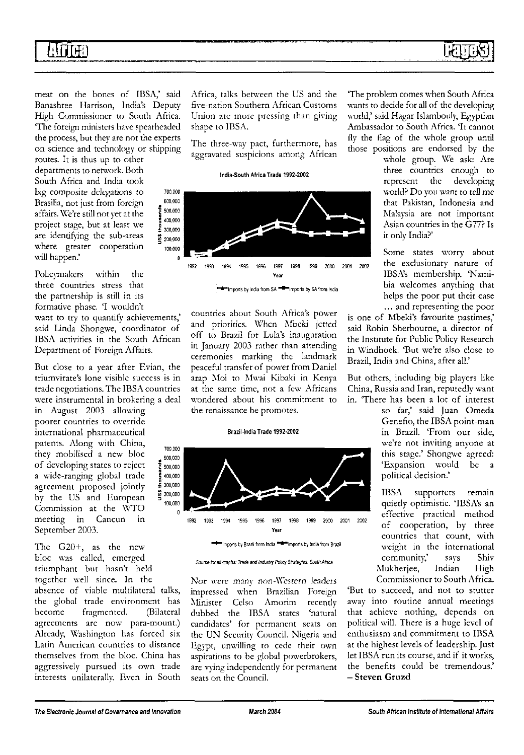## *IMm.*

meat on the bones of IBSA,' said Banashree Harrison, India's Deputy High Commissioner to South Africa. The foreign ministers have spearheaded the process, but they are not the experts on science and technology or shipping

routes. It is thus up to other departments to network. Both South Africa and India took big composite delegations to Brasilia, not just from foreign affairs. We're still not yet at the project stage, but at least we are identifying the sub-areas where greater cooperation will happen.'

Policymakers within the three countries stress that the partnership is still in its formative phase. 'I wouldn't want to try to quantify achievements,' said Linda Shongwe, coordinator of IBSA activities in the South African Department of Foreign Affairs.

But close to a year after Evian, the triumvirate's lone visible success is in trade negotiations. The IBSA countries were instrumental in brokering a deal

in August 2003 allowing poorer countries to override international pharmaceutical patents. Along with China, they mobilised a new bloc of developing states to reject a wide-ranging global trade agreement proposed jointly by the US and European Commission at the WTO meeting in Cancun in September 2003.

The G20+, as the new bloc was called, emerged triumphant but hasn't held together well since. In the

absence of viable multilateral talks, the global trade environment has become fragmented. (Bilateral agreements are now para-mount.) Already, Washington has forced six Latin American countries to distance themselves from the bloc. China has aggressively pursued its own trade interests unilaterally. Even in South Africa, talks between the US and the five-nation Southern African Customs Union are more pressing than giving shape to IBSA.

The three-way pact, furthermore, has aggravated suspicions among African

India-South Africa Trade 1992-2002



countries about South Africa's power and priorities. When Mbeki jetted off to Brazil for Lula's inauguration in January 2003 rather than attending ceremonies marking the landmark peaceful transfer of power from Daniel arap Moi to Mwai Kibaki in Kenya at the same time, not a few Africans wondered about his commitment to the renaissance he promotes.

#### Brazil-India Trade 1992-2002



Source for all graphs. Trade and Industry Policy Strategies, South Africa

Nor were many non-Western leaders impressed when Brazilian Foreign Minister Celso Amorim recently dubbed the IBSA states 'natural candidates' for permanent seats on the UN Security Council. Nigeria and Egypt, unwilling to cede their own aspirations to be global powerbrokers, are vying independently for permanent seats on the Council.

The problem comes when South Africa wants to decide for all of the developing world,' said Hagar Islambouly, Egyptian Ambassador to South Africa. 'It cannot fly the flag of the whole group until those positions are endorsed by the

whole group. We ask: Are three countries enough to represent the developing world? Do you want to tell me that Pakistan, Indonesia and Malaysia are not important Asian countries in the G77? Is it only India?'

Some states worry about the exclusionary nature of IBSA's membership. 'Namibia welcomes anything that helps the poor put their case ... and representing the poor

is one of Mbeki's favourite pastimes,' said Robin Sherbourne, a director of the Institute for Public Policy Research in Windhoek. 'But we're also close to Brazil, India and China, after all.'

But others, including big players like China, Russia and Iran, reputedly want in. There has been a lot of interest

so far,' said Juan Omeda Genefio, the IBSA point-man in Brazil. 'From our side, we're not inviting anyone at this stage.' Shongwe agreed: 'Expansion would be a political decision.'

IBSA supporters remain quietly optimistic. 'IBSA's an effective practical method of cooperation, by three countries that count, with weight in the international community,' says Shiv Mukherjee, Indian High Commissioner to South Africa.

'But to succeed, and not to stutter away into routine annual meetings that achieve nothing, depends on political will. There is a huge level of enthusiasm and commitment to IBSA at the highest levels of leadership. Just let IBSA run its course, and if it works, the benefits could be tremendous.' — **Steven Gruzd**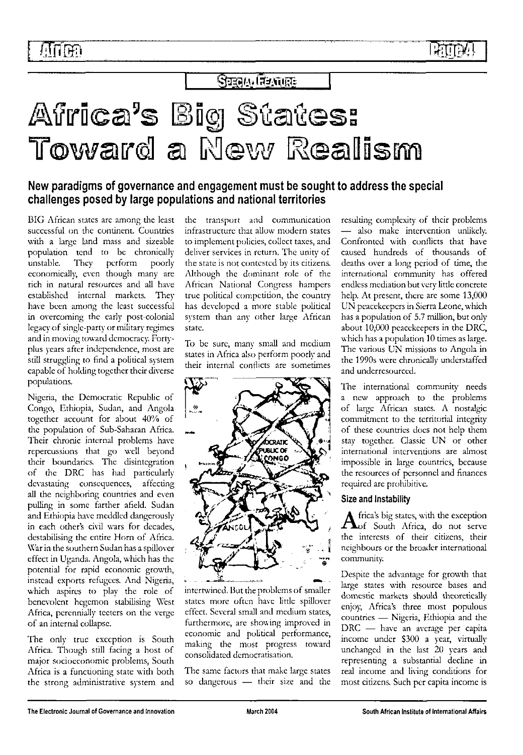## Sugary Revolts

## Africa's Big States: Toward a New Realism

### New paradigms of governance and engagement must be sought to address the special challenges posed by large populations and national territories

BIG African states arc among the least successful on the continent. Countries with a large land mass and sizeable population tend to be chronically unstable. They perform poorly economically, even though many are rich in natural resources and all have established internal markets. They have been among the least successful in overcoming the early post-colonial legacy of single-party or military regimes and in moving toward democracy. Fortyplus years after independence, most are still struggling to find a political system capable of holding together their diverse populations.

Nigeria, the Democratic Republic of Congo, Ethiopia, Sudan, and Angola together account for about 40% of the population of Sub-Saharan Africa. Their chronic internal problems have repercussions that go well beyond their boundaries. The disintegration of the DRC has had particularly devastating consequences, affecting all the neighboring countries and even pulling in some farther afield. Sudan and Ethiopia have meddled dangerously in each other's civil wars for decades, destabilising the entire Horn of Africa. War in the southern Sudan has a spillover effect in Uganda. Angola, which has the potential for rapid economic growth, instead exports refugees. And Nigeria, which aspires to play the role of benevolent hegemon stabilising West Africa, perennially teeters on the verge of an internal collapse.

The only true exception is South Africa. Though still facing a host of major socioeconomic problems, South Africa is a functioning state with both the strong administrative system and

the transport and communication infrastructure that allow modern states to implement policies, collect taxes, and deliver services in return. The unity of the state is not contested by its citizens. Although the dominant role of the African National Congress hampers true political competition, the country has developed a more stable political system than any other large African state.

To be sure, many small and medium states in Africa also perform poorly and their internal conflicts are sometimes



intertwined. But the problems of smaller states more often have little spillover effect. Several small and medium states, furthermore, are showing improved in economic and political performance, making the most progress toward consolidated democratisation.

The same factors that make large states so dangerous — their size and the resulting complexity of their problems — also make intervention unlikely. Confronted with conflicts that have caused hundreds of thousands of deaths over a long period of time, the international community has offered endless mediation but very little concrete help. At present, there are some 13,000 UN peacekeepers in Sierra Leone, which has a population of 5.7 million, but only about 10,000 peacekeepers in the DRC, which has a population 10 times as large. The various UN missions to Angola in the 1990s were chronically understaffed and underresourced.

The international community needs a new approach to the problems of large African states. A nostalgic commitment to the territorial integrity of these countries docs not help them stay together. Classic UN or other international interventions are almost impossible in large countries, because the resources of personnel and finances required are prohibitive.

### Size and Instability

Africa's big states, with the exception frica's big states, with the exception the interests of their citizens, their neighbours or the broader international community'.

Despite the advantage for growth that large states with resource bases and domestic markets should theoretically enjoy, Africa's three most populous countries — Nigeria, Ethiopia and the DRC — have an average per capita income under S300 a year, virtually unchanged in the last 20 years and representing a substantial decline in real income and living conditions for most citizens. Such per capita income is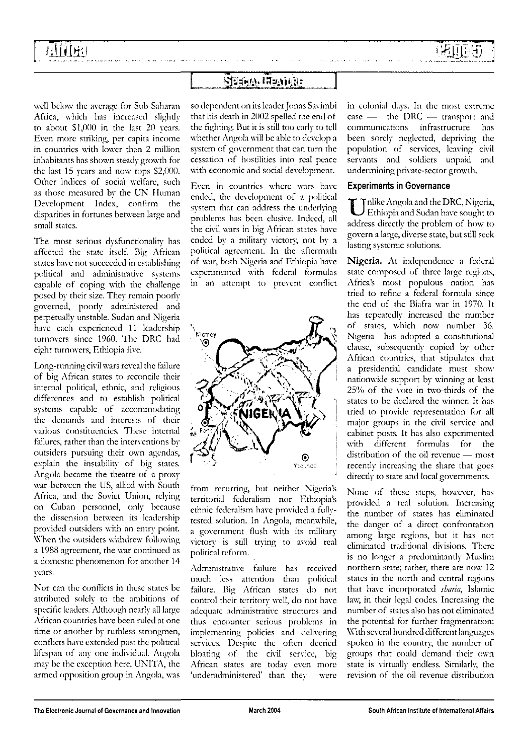## 浜行け出

### Sizam Hzadr

. . . . . . . . .

well below the average for Sub-Saharan Africa, which has increased slightly to about SI,000 in the last 20 years. Even more striking, per capita income in countries with lower than 2 million inhabitants has shown steady growth for the last 15 years and now tops S2,000. Other indices of social welfare, such as those measured by the UN Human Development Index, confirm the disparities in fortunes between large and small states.

The most serious dysfunctionality has affected the state itself. Big African states have not succeeded in establishing political and administrative systems capable of coping with the challenge posed by their size. They remain poorly governed, poorly administered and perpetually unstable. Sudan and Nigeria have each experienced 11 leadership turnovers since 1960. The DRC had eight turnovers, Ethiopia five.

Long-running civil wars reveal the failure of big African states to reconcile their internal political, ethnic, and religious differences and to establish political systems capable of accommodating the demands and interests of their various constituencies. These internal failures, rather than the interventions by outsiders pursuing their own agendas, explain the instability of big states. Angola became the theatre of a proxy war between the US, allied with South Africa, and the Soviet Union, relying on Cuban personnel, only because the dissension between its leadership provided outsiders with an entry point. When the outsiders withdrew following a 1988 agreement, the war continued as a domestic phenomenon for another 14 years.

Nor can the conflicts in these states be attributed solely to the ambitions of specific leaders. Although nearly all large African countries have been ruled at one time or another by ruthless strongmen, conflicts have extended past the political lifespan of any one individual. Angola may be the exception here. UNITA, the armed opposition group in Angola, was

so dependent on its leader Jonas Savimbi that his death in 2002 spelled the end of the fighting. But it is still too early to tell whether Angola will be able to develop a system of government that can turn the cessation of hostilities into real peace with economic and social development.

Even in countries where wars have ended, the development of a political system that can address the underlying problems has been elusive. Indeed, all the civil wars in big African states have ended by a military victory, not by a political agreement. In the aftermath of war, both Nigeria and Ethiopia have experimented with federal formulas in an attempt to prevent conflict



from recurring, but neither Nigeria's territorial federalism nor Ethiopia's ethnic federalism have provided a fullytested solution. In Angola, meanwhile, a government flush with its military victory is still trying to avoid real political reform.

Administrative failure has received much less attention than political failure. Big African states do not control their territory well, do not have adequate administrative structures and thus encounter serious problems in implementing policies and delivering services. Despite the often decried bloating of the civil service, big African states are today even more 'underadministered' than they were in colonial days. In the most extreme  $\cose$  — the DRC — transport and communications infrastructure has been sorely neglected, depriving the population of services, leaving civil servants and soldiers unpaid and undermining private-sector growth.

#### Experiments in Governance

U Filike Angola and the DRC, Nigeria, Ethiopia and Sudan have sought to address directly the problem of how to govern a large, diverse state, but still seek lasting systemic solutions.

Nigeria. At independence a federal state composed of three large regions, Africa's most populous nation has tried to refine a federal formula since the end of the Biafra war in 1970. It has repeatedly increased the number of states, which now number 36. Nigeria has adopted a constitutional clause, subsequently copied by other African countries, that stipulates that a presidential candidate must show nationwide support by winning at least 25% of the vote in two-thirds of the states to be declared the winner. It has tried to provide representation for all major groups in the civil service and cabinet posts. It has also experimented with different formulas for the distribution of the oil revenue — most recently increasing the share that goes directly to state and local governments.

None of these steps, however, has provided a real solution. Increasing the number of states has eliminated the danger of a direct confrontation among large regions, but it has not eliminated traditional divisions. There is no longer a predominantly Muslim northern state; rather, there are now 12 states in the north and central regions that have incorporated *sharia,* Islamic law, in their legal codes. Increasing the number of states also has not eliminated the potential for further fragmentation: With several hundred different languages spoken in the country, the number of groups that could demand their own state is virtually endless. Similarly, the revision of the oil revenue distribution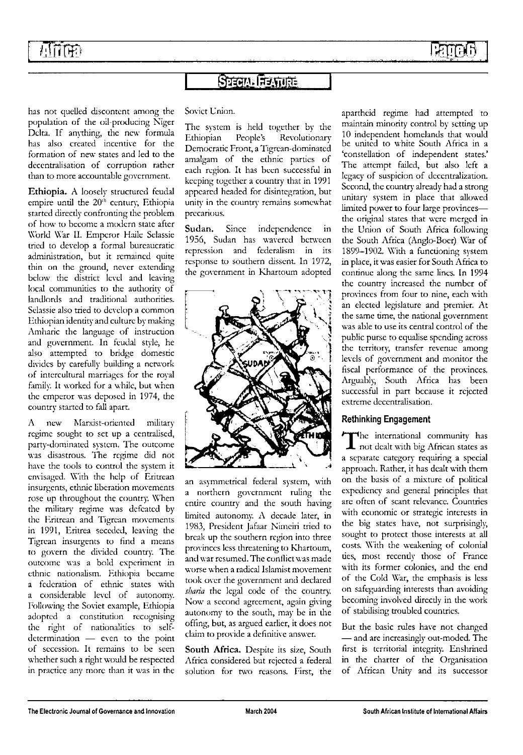## 西面田

## **Sazam Aastrice**

has not quelled discontent among the population of the oil-producing Niger Delta. If anything, the new formula has also created incentive for the formation of new states and led to the decentralisation of corruption rather than to more accountable government.

**Ethiopia.** A loosely structured feudal empire until the 20<sup>th</sup> century, Ethiopia started directly confronting the problem of how to become a modern state after World War II. Emperor Haile Selassie tried to develop a formal bureaucratic administration, but it remained quite thin on the ground, never extending below the district level and leaving local communities to the authority of landlords and traditional authorities. Selassie also tried to develop a common Ethiopian identity and culture by making Amharic the language of instruction and government. In feudal style, he also attempted to bridge domestic divides by carefully building a network of intcrcultural marriages for the royal family. It worked for a while, but when the emperor was deposed in 1974, the country started to fall apart.

A new Marxist-oriented military regime sought to set up a centralised, party-dominated system. The outcome was disastrous. The regime did not have the tools to control the system it envisaged. With the help of Eritrean insurgents, ethnic liberation movements rose up throughout the country. When the military regime was defeated by the Eritrean and Tigrcan movements in 1991, Eritrea seceded, leaving the Tigrean insurgents to find a means to govern the divided country. The outcome was a bold experiment in ethnic nationalism. Ethiopia became a federation of ethnic states with a considerable level of autonomy. Following the Soviet example, Ethiopia adopted a constitution recognising the right of nationalities to selfdetermination — even to the point of secession. It remains to be seen whether such a right would be respected in practice any more than it was in the

### Soviet Union.

The system is held together by the Ethiopian People's Revolutionary Democratic Front, a Tigrcan-dominated amalgam of the ethnic parties of each region. It has been successful in keeping together a country that in 1991 appeared headed for disintegration, but unity in the country remains somewhat precarious.

**Sudan.** Since independence in 1956, Sudan has wavered between repression and federalism in its response to southern dissent. In 1972, the government in Khartoum adopted



an asymmetrical federal system, with a northern government ruling the entire country and the south having limited autonomy. A decade later, in 1983, President Jafaar Nimciri tried to break up the southern region into three provinces less threatening to Khartoum, and war resumed. The conflict was made worse when a radical Islamist movement took over the government and declared *sharia* the legal code of the country. Now a second agreement, again giving autonomy to the south, may be in the offing, but, as argued earlier, it does not claim to provide a definitive answer.

**South Africa.** Despite its size, South Africa considered but rejected a federal solution for two reasons. First, the apartheid regime had attempted to maintain minority control by setting up 10 independent homelands that would be united to white South Africa in a 'constellation of independent states.' The attempt failed, but also left a legacy of suspicion of decentralization. Second, the country already had a strong unitary system in place that allowed limited power to four large provinces the original states that were merged in the Union of South Africa following the South Africa (Anglo-Boer) War of 1899-1902. With a functioning system in place, it was easier for South Africa to continue along the same lines. In 1994 the country increased the number of provinces from four to nine, each with an elected legislature and premier. At the same time, the national government was able to use its central control of the public purse to equalise spending across the territory, transfer revenue among levels of government and monitor the fiscal performance of the provinces. Arguably, South Africa has been successful in part because it rejected extreme decentralisation.

### Rethinking Engagement

The international community has<br>not dealt with big African states as he international community has a separate category requiring a special approach. Rather, it has dealt with them on the basis of a mixture of political expediency and general principles that are often of scant relevance. Countries with economic or strategic interests in the big states have, not surprisingly, sought to protect those interests at all costs. With the weakening of colonial ties, most recently those of France with its former colonies, and the end of the Cold War, the emphasis is less on safeguarding interests than avoiding becoming involved directly in the work of stabilising troubled countries.

But the basic rules have not changed — and are increasingly out-moded. The first is territorial integrity. Enshrined in the charter of the Organisation of African Unity and its successor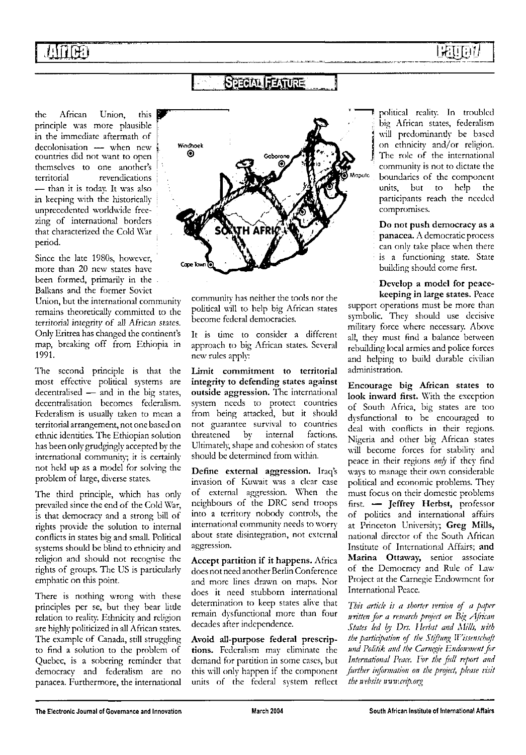## **STOM FATURE**

the African Union, this principle was more plausible in the immediate aftermath of decolonisation — when new countries did not want to open themselves to one another's territorial revendications — than it is today. It was also in keeping with the historically unprecedented worldwide freezing of international borders that characterized the Cold War period.

Since the late 1980s, however, more than 20 new states have been formed, primarily in the Balkans and the former Soviet Union, but the international community remains theoretically committed to the territorial integrity of all African states. Only Eritrea has changed the continent's map, breaking off from Ethiopia in 1991.

The second principle is that the most effective political systems are decentralised — and in the big states, decentralisation becomes federalism. Federalism is usually taken to mean a territorial arrangement, not one based on ethnic identities. The Ethiopian solution has been only grudgingly accepted by the international community; it is certainly not held up as a model for solving the problem of large, diverse states.

The third principle, which has only prevailed since the end of the Cold War, is that democracy and a strong bill of rights provide the solution to internal conflicts in states big and small. Political systems should be blind to ethnicity and religion and should not recognise the rights of groups. The US is particularly emphatic on this point.

There is nothing wrong with these principles per se, but they bear **little** relation to reality. Ethnicity and religion are highly politicized in all African states. The example of Canada, still struggling to find a solution to the problem of Quebec, is a sobering reminder that democracy and federalism are no panacea. Furthermore, the international



community has neither the tools nor the political will to help big African states become federal democracies.

It is time to consider a different approach to big African states. Several new rules apply:

**limit commitment to territorial integrity to defending states against outside aggression.** The international system needs to protect countries from being attacked, but it should not guarantee survival to countries threatened by internal factions. Ultimately, shape and cohesion of states should be determined from within.

**Define external aggression.** Iraq's invasion of Kuwait was a clear case of external aggression. When the neighbours of the DRC send troops into a territory nobody controls, the international community needs to worry about state disintegration, not external aggression.

**Accept partition if it happens.** Africa does not need another Berlin Conference and more lines drawn on maps. Nor does it need stubborn international determination to keep states alive that remain dysfunctional more than four decades after independence.

**Avoid all-purpose federal prescriptions.** Federalism may eliminate the demand for partition in some cases, but this will only happen if the component units of the federal svstem reflect

political reality. In troubled big African states, federalism will predominantly be based on ethnicity and/or religion. The role of the international community is not to dictate the boundaries of the component units, but to help the participants reach the needed compromises.

**Do not push democracy as a panacea.** A democratic process can only take place when there is a functioning state. State building should come first.

**Develop a model for peacekeeping in large states.** Peace

support operations must be more than symbolic. They should use decisive military force where necessary. Above all, they must find a balance between rebuilding local armies and police forces and helping to build durable civilian administration.

**Encourage big African states to look inward first.** With the exception of South Africa, big states are too dysfunctional to be encouraged to deal with conflicts in their regions. Nigeria and other big African states will become forces for stability and peace in their regions *only* if they find ways to manage their own considerable political and economic problems. They must focus on their domestic problems first. — **Jeffrey Herbst,** professor of politics and international affairs at Princeton University; **Greg Mills,** national director of the South African Institute of International Affairs; **and Marina Ottaway,** senior associate of the Democracy and Rule of Law Project at the Carnegie Endowment for International Peace.

*This article is a shorter version of a paper mitten for a research project on Big African States led by Drs. Herbst and Mills, nitb* the participation of the Stiftung Wissenschaft *und Politik and the Carnegie Endowment for International Peace, for the full report and further information on the project, please visit the website inimceip.org*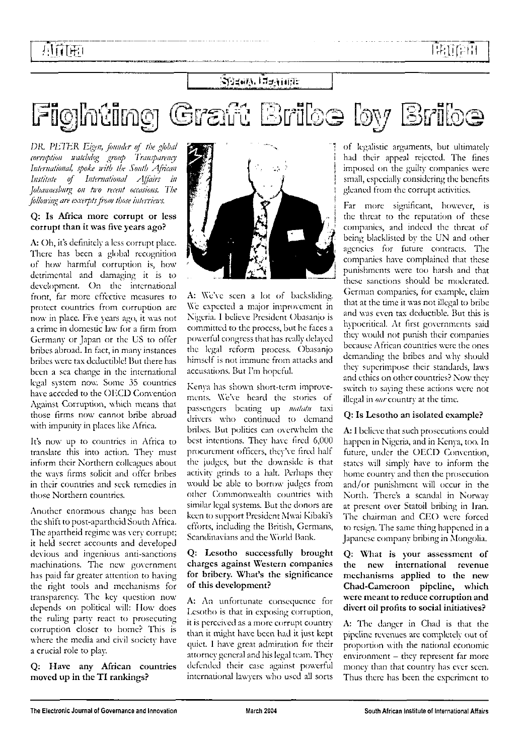## ≷ј∄ним і¤<del>з</del>міня:

Graft Briloe by Bribe Figlhting |

OK. *PHTtiR Eigen, founder of the global*  $corruption$   $n$ *atchdog group Transparency International, spofa with the South African Institute of International Affairs in Johannesburg on tiro recent occasions. The following are excerpts from those interviews.*

#### **Q: Is Africa more corrupt or less corrupt than it was five years ago?**

**A:** Oh, it's definitely a less corrupt place. There has been a global recognition of how harmful corruption is, how detrimental and damaging it is to development. On the international front, far more effective measures to protect countries from corruption are now in place. Five years ago, it was not a crime in domestic law for a firm from Germany or Japan or the US to offer bribes abroad. In fact, in many instances bribes were tax deductible! Hut there has been a sea change in the international legal system now. Some 35 countries have acceded to the OECD Convention Against Corruption, which means that those firms now cannot bribe abroad with impunity in places like Africa.

It's now up to countries in Africa to translate this into action. They must inform their Northern colleagues about the ways firms solicit and offer bribes in their countries and seek remedies in those Northern countries.

Another enormous change has been the shift to post-apartheid South Africa. The apartheid regime was very corrupt; it held secret accounts and developed devious and ingenious anti-sanctions machinations. The new government has paid far greater attention to having the right tools and mechanisms for transparency. The key question now depends on political will: How docs the ruling party react to prosecuting corruption closer to home? This is where the media and civil society have a crucial role to play.

**Q: Have any African countries moved up in the TI rankings?**



**A:** We've seen a lot of backsliding. We expected a major improvement in Nigeria. I believe President Obasanjo is committed to the process, but he faces a powerful congress that has really delayed the legal reform process. Obasanjo himself is not immune from attacks and accusations. But I'm hopeful.

Kenya has shown short-term improvements. We've heard the stories of passengers beating up *luatatu* taxi drivers who continued to demand bribes. But politics can overwhelm the best intentions. They have fired 6,000 procurement officers, they've fired half the judges, but the downside is that activity grinds to a halt. Perhaps they would be able to borrow judges from other Commonwealth countries with similar legal systems. But the donors are keen to support President Mwai Kibaki's efforts, including the British, Germans, Scandinavians and the World Bank.

#### **Q: Lesotho successfully brought charges against Western companies for bribery. What's the significance of this development?**

**A:** An unfortunate consequence for Ixsotho is that in exposing corruption, it is perceived as a more corrupt country than it might have been had it just kept quiet. I have great admiration for their attorney general and his legal team. They defended their case against powerful international lawyers who used all sorts

of legalistic arguments, but ultimately had their appeal rejected. The fines imposed on the guilty companies were small, especially considering the benefits gleaned from the corrupt activities.

Far more significant, however, is the threat to the reputation of these companies, and indeed the threat of being blacklisted by the UN and other agencies for future contracts. The companies have complained that these punishments were too harsh and that these sanctions should be moderated. German companies, for example, claim that at the time it was not illegal to bribe and was even tax deductible. But this is hypocritical. At first governments said they would not punish their companies because African countries were the ones demanding the bribes and why should they superimpose their standards, laws and ethics on other countries? Now they switch to saying these actions were not illegal in our country at the time.

### **Q: Is Lesotho an isolated example?**

A: **1** believe that such prosecutions could happen in Nigeria, and in Kenya, too. In future, under the OECD Convention, states will simply have to inform the home country and then the prosecution and/or punishment will occur in the North. There's a scandal in Norway at present over Statoil bribing in Iran. The chairman and CEO were forced to resign. The same thing happened in a Japanese company bribing in Mongolia.

**Q: What is your assessment of the new international revenue mechanisms applied to the new Chad-Cameroon pipeline, which were meant to reduce corruption and divert oil profits to social initiatives?**

**A:** The danger in Chad is that the pipeline revenues are completely out of proportion with the national economic environment - they represent far more money than that country has ever seen. Thus there has been the experiment to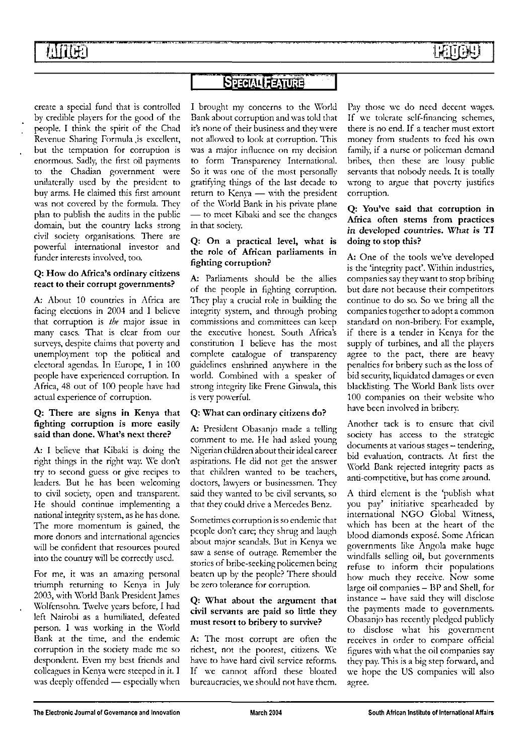प्रातमा

## **SPECIAL FEATURE**

create a special fund that is controlled by credible players for the good of the people. I think the spirit of the Chad Revenue Sharing Formula ,is excellent, but the temptation for corruption is enormous. Sadly, the first oil payments to the Chadian government were unilaterally used by the president to buy arms. He claimed this first amount was not covered by the formula. They plan to publish the audits in the public domain, but the country lacks strong civil society organisations. There are powerful international investor and fundcr interests involved, too.

#### **Q: How do Africa's ordinary citizens react to their corrupt governments?**

**A:** About 10 countries in Africa are facing elections in 2004 and I believe that corruption is *the* major issue in many cases. That is clear from our surveys, despite claims that poverty and unemployment top the political and electoral agendas. In Europe, 1 in 100 people have experienced corruption. In Africa, 48 out of 100 people have had actual experience of corruption.

#### **Q: There are signs in Kenya that fighting corruption is more easily said than done. What's next there?**

**A: I** believe that Kibaki is doing the right things in the right way. We don't try to second guess or give recipes to leaders. But he has been welcoming to civil society, open and transparent. He should continue implementing a national integrity system, as he has done. The more momentum is gained, the more donors and international agencies will be confident that resources poured into the country will be correcdy used.

For me, it was an amazing personal triumph returning to Kenya in July 2003, with World Bank President James Wolfcnsohn. Twelve years before, I had left Nairobi as a humiliated, defeated person. I was working in the World Bank at the time, and the endemic corruption in the society made me so despondent. Even my best friends and colleagues in Kenya were steeped in it. I was deeply offended — especially when

I brought my concerns to the World Bank about corruption and was told that it's none of their business and they were not allowed to look at corruption. This was a major influence on my decision to form Transparency International. So it was one of the most personally gratifying things of the last decade to return to Kenya — with the president of the World Bank in his private plane — to meet Kibaki and see the changes in that society.

#### **Q: On a practical level, what is the role of African parliaments in fighting corruption?**

**A:** Parliaments should be the allies of the people in fighting corruption. They play a crucial role in building the integrity system, and through probing commissions and committees can keep the executive honest. South Africa's constitution I believe has the most complete catalogue of transparency guidelines enshrined anywhere in the world. Combined with a speaker of strong integrity like Frene Ginwala, this is very powerful.

### **Q: What can ordinary citizens do?**

**A:** President Obasanjo made a telling comment to me. He had asked young Nigerian children about their ideal career aspirations. He did not get the answer that children wanted to be teachers, doctors, lawyers or businessmen. They said they wanted to be civil servants, so that they could drive a Mercedes Benz.

Sometimes corruption is so endemic that people don't care; they shrug and laugh about major scandals. But in Kenya we saw a sense of outrage. Remember the stories of bribe-seeking policemen being beaten up by the people? There should be zero tolerance for corruption.

#### **Q: What about the argument that civil servants are paid so little they must resort to bribery to survive?**

**A:** The most corrupt are often the richest, not the poorest, citizens. We have to have hard civil service reforms. If we cannot afford these bloated bureaucracies, we should not have them.

Pay those we do need decent wages. If we tolerate self-financing schemes, there is no end. If a teacher must extort money from students to feed his own family, if a nurse or policeman demand bribes, then these arc lousy public servants that nobody needs. It is totally wrong to argue that poverty justifies corruption.

#### **Q: You've said that corruption in Africa often stems from practices in developed countries. What is TI doing to stop this?**

**A:** One of the tools we've developed is the 'integrity pact'. Within industries, companies say they want to stop bribing but dare not because their competitors continue to do so. So we bring all the companies together to adopt a common standard on non-bribery. For example, if there is **a** tender in Kenya for the supply of turbines, and all the players agree to the pact, there are heavy penalties for bribery such as the loss of bid security, liquidated damages or even blacklisting. The World Bank lists over 100 companies on their website who have been involved in bribery.

Another tack is to ensure that civil society has access to the strategic documents at various stages — tendering, bid evaluation, contracts. At first the World Bank rejected integrity pacts as anti-competitive, but has come around.

A third element is the 'publish what you pay' initiative spearheaded by international NGO Global Witness, which has been at the heart of the blood diamonds exposé. Some African governments like Angola make huge windfalls selling oil, but governments refuse to inform their populations how much they receive. Now some large oil companies - BP and Shell, for instance - have said they will disclose the payments made to governments. Obasanjo has recently pledged publicly to disclose what his government receives in order to compare official figures with what the oil companies say they pay. This is a big step forward, and we hope the US companies will also agree.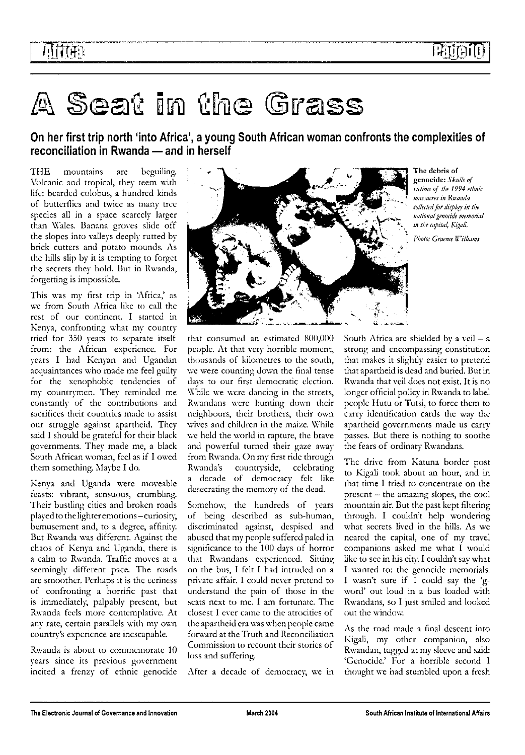## A Seat in the Grass

On her first trip north 'into Africa', a young South African woman confronts the complexities of reconciliation in Rwanda — and in herself

THE mountains are beguiling. Volcanic and tropical, they teem with life: bearded colobus, a hundred kinds of butterflies and twice as many tree species all in a space scarcely larger than Wales. Banana groves slide off the slopes into valleys deeply rutted by brick cutters and potato mounds. As the hills slip by it is tempting to forget the secrets they hold. But in Rwanda, forgetting is impossible.

This was my first trip in 'Africa,' as we from South Africa like to call the rest of our continent. I started in Kenya, confronting what my country tried for 350 years to separate itself from: the African experience. For years I had Kenyan and Ugandan acquaintances who made me feel guilty for the xenophobic tendencies of my countrymen. They reminded me constantly of the contributions and sacrifices their countries made to assist our struggle against apartheid. They said I should be grateful for their black governments. They made me, a black South African woman, feel as if I owed them something. Maybe I do.

Kenya and Uganda were moveable feasts: vibrant, sensuous, crumbling. Their bustling cities and broken roads played to the lighter emotions - curiosity, bemuscment and, to a degree, affinity. But Rwanda was different. Against the chaos of Kenya and Uganda, there is a calm to Rwanda. Traffic moves at a seemingly different pace. The roads are smoother. Perhaps it is the eeriness of confronting a horrific past that is immediately, palpably present, but Rwanda feels more contemplative. At any rate, certain parallels with my own country's experience are inescapable.

Rwanda is about to commemorate 10 years since its previous government incited a frenzy of ethnic genocide



**The debris of genocide:** *Skulls of victims of the 1994 ethnic massacres in Rwanda collected for display in the national genocide memorial in the capital, Kigali.*

*Photo: Graeme Williams*

that consumed an estimated 800,000 people. At that very horrible moment, thousands of kilometres to the south, we were counting down the final tense days to our first democratic election. While we were dancing in the streets, Rwandans were hunting down their neighbours, their brothers, their own wives and children in the maize. While we held the world in rapture, the brave and powerful turned their gaze away from Rwanda. On my first ride through Rwanda's countryside, celebrating a decade of democracy felt like desecrating the memory of the dead.

Somehow, the hundreds of years of being described as sub-human, discriminated against, despised and abused that my people suffered paled in significance to the 100 days of horror that Rwandans experienced. Sitting on the bus, I felt I had intruded on a private affair. I could never pretend to understand the pain of those in the seats next to me. I am fortunate. The closest I ever came to the atrocities of the apartheid era was when people came forward at the Truth and Reconciliation Commission to recount their stories of loss and suffering.

After a decade of democracy, we in

South Africa are shielded by a veil  $- a$ strong and encompassing constitution that makes it slightly easier to pretend that apartheid is dead and buried. But in Rwanda that veil does not exist. It is no longer official policy in Rwanda to label people Hutu or Tutsi, to force them to carry identification cards the way the apartheid governments made us carry passes. But there is nothing to soothe the fears of ordinary Rwandans.

The drive from Katuna border post to Kigali took about an hour, and in that time I tried to concentrate on the present — the amazing slopes, the cool mountain air. But the past kept filtering through. I couldn't help wondering what secrets lived in the hills. As we ncarcd the capital, one of my travel companions asked me what I would like to see in his city. I couldn't say what I wanted to: the genocide memorials. I wasn't sure if I could say the 'gword' out loud in a bus loaded with Rwandans, so I just smiled and looked out the window.

As the road made a final descent into Kigali, my other companion, also Rwandan, tugged at my sleeve and said: 'Genocide.' For a horrible second I thought we had stumbled upon a fresh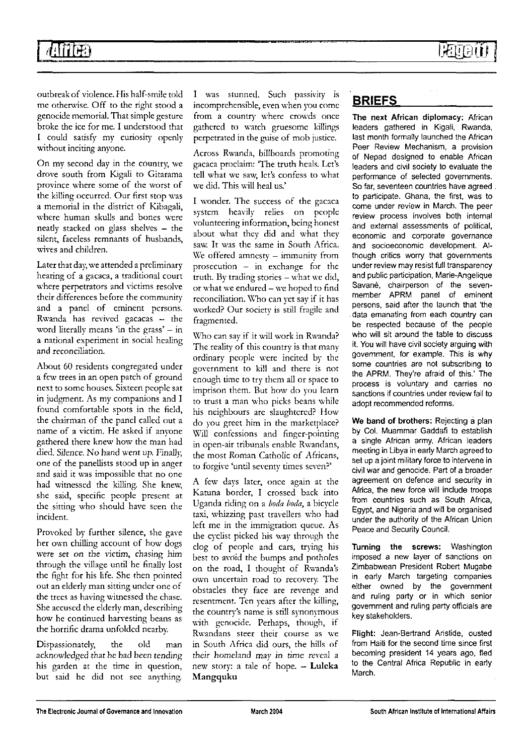## **4i**

outbreak of violence. His half-smile told me otherwise. Off to the right stood a genocide memorial. That simple gesture broke the ice for me. I understood that I could satisfy my curiosity openly without inciting anyone.

On my second day in the country, we drove south from Kigali to Gitarama province where some of the worst of the killing occurred. Our first stop was a memorial in the district of Kibagali, where human skulls and bones were neatly stacked on glass shelves — the silent, faceless remnants of husbands, wives and children.

Later that day, we attended a preliminary hearing of a gacaca, a traditional court where perpetrators and victims resolve their differences before the community and a panel of eminent persons. Rwanda has revived gacacas — the word literally means 'in the grass'  $-$  in a national experiment in social healing and reconciliation.

About 60 residents congregated under a few trees in an open patch of ground next to some houses. Sixteen people sat in judgment. As my companions and I found comfortable spots in the field, the chairman of the panel called out a name of a victim. He asked if anyone gathered there knew how the man had died. Silence. No hand went up. Finally, one of the panellists stood up in anger and said it was impossible that no one had witnessed the killing. She knew, she said, specific people present at the sitting who should have seen the incident.

Provoked by further silence, she gave her own chilling account of how dogs were set on the victim, chasing him through the village until he finally lost the fight for his life. She then pointed out an elderly man sitting under one of the trees as having witnessed the chase. She accused the elderly man, describing how he continued harvesting beans as the horrific drama unfolded nearby.

Dispassionately, the old man acknowledged that he had been tending his garden at the time in question, but said he did not see anything. I was stunned. Such passivity is incomprehensible, even when you come from a country where crowds once gathered to watch gruesome killings perpetrated in the guise of mob justice.

Across Rwanda, billboards promoting gacaca proclaim: The truth heals. Let's tell what we saw, let's confess to what we did. This will heal us.'

I wonder. The success of the gacaca system heavily relies on people volunteering information, being honest about what they did and what they saw. It was the same in South Africa. We offered amnesty  $-$  immunity from prosecution — in exchange for the truth. By trading stories - what we did, or what we endured — we hoped to find reconciliation. Who can yet say if it has worked? Our society is still fragile and fragmented.

Who can say if it will work in Rwanda? The reality of this country is that many ordinary people were incited by the government to kill and there is not enough time to try them all or space to imprison them. But how do you learn to trust a man who picks beans while his neighbours are slaughtered? How do you greet him in the marketplace? Will confessions and finger-pointing in open-air tribunals enable Rwandans, the most Roman Catholic of Africans, to forgive 'until seventy times seven?'

A few days later, once again at the Katuna border, I crossed back into Uganda riding on a *boda boda,* a bicycle taxi, whizzing past travellers who had left me in the immigration queue. As the cyclist picked his way through the clog of people and cars, trying his best to avoid the bumps and potholes on the road, I thought of Rwanda's own uncertain road to recovery. The obstacles they face are revenge and resentment. Ten years after the killing, the country's name is still synonymous with genocide. Perhaps, though, if Rwandans steer their course as we in South Africa did ours, the hills of their homeland may in time reveal a new story: a tale of hope. — **Luleka Mangquku**

## **BRIEFS**

**The next African diplomacy:** African leaders gathered in Kigali, Rwanda, last month formally launched the African Peer Review Mechanism, a provision of Nepad designed to enable African leaders and civil society to evaluate the performance of selected governments. So far, seventeen countries have agreed to participate. Ghana, the first, was to come under review in March. The peer review process involves both internal and external assessments of political, economic and corporate governance and socioeconomic development. Although critics worry that governments under review may resist full transparency and public participation, Marie-Angelique Savane, chairperson of the sevenmember APRM panel of eminent persons, said after the launch that 'the data emanating from each country can be respected because of the people who will sit around the table to discuss it. You will have civil society arguing with government, for example. This is why some countries are not subscribing to the APRM. They're afraid of this.' The process is voluntary and carries no sanctions if countries under review fail to adopt recommended reforms.

**We band of brothers:** Rejecting a plan by Col. Muammar Gaddafi to establish a single African army, African leaders meeting in Libya in early March agreed to set up a joint military force to intervene in civil war and genocide. Part of a broader agreement on defence and security in Africa, the new force will include troops from countries such as South Africa, Egypt, and Nigeria and will be organised under the authority of the African Union Peace and Security Council.

**Turning the screws:** Washington imposed a new layer of sanctions on Zimbabwean President Robert Mugabe in early March targeting companies either owned by the government and ruling party or in which senior government and ruling party officials are key stakeholders.

**Flight:** Jean-Bertrand Aristide, ousted from Haiti for the second time since first becoming president 14 years ago, fled to the Central Africa Republic in early March.